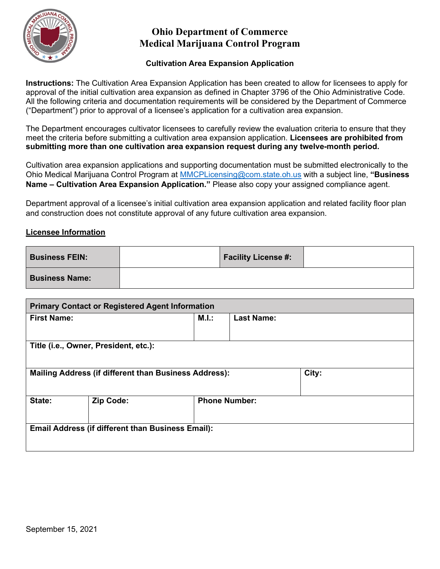

### **Cultivation Area Expansion Application**

**Instructions:** The Cultivation Area Expansion Application has been created to allow for licensees to apply for approval of the initial cultivation area expansion as defined in Chapter 3796 of the Ohio Administrative Code. All the following criteria and documentation requirements will be considered by the Department of Commerce ("Department") prior to approval of a licensee's application for a cultivation area expansion.

The Department encourages cultivator licensees to carefully review the evaluation criteria to ensure that they meet the criteria before submitting a cultivation area expansion application. **Licensees are prohibited from submitting more than one cultivation area expansion request during any twelve-month period.**

Cultivation area expansion applications and supporting documentation must be submitted electronically to the Ohio Medical Marijuana Control Program at [MMCPLicensing@com.state.oh.us](mailto:MMCPLicensing@com.state.oh.us) with a subject line, **"Business Name – Cultivation Area Expansion Application."** Please also copy your assigned compliance agent.

Department approval of a licensee's initial cultivation area expansion application and related facility floor plan and construction does not constitute approval of any future cultivation area expansion.

### **Licensee Information**

| <b>Business FEIN:</b> | <b>Facility License #:</b> |  |
|-----------------------|----------------------------|--|
| <b>Business Name:</b> |                            |  |

| <b>Primary Contact or Registered Agent Information</b>       |                                       |       |                      |       |  |  |
|--------------------------------------------------------------|---------------------------------------|-------|----------------------|-------|--|--|
| <b>First Name:</b>                                           |                                       | M.I.: | <b>Last Name:</b>    |       |  |  |
|                                                              |                                       |       |                      |       |  |  |
|                                                              | Title (i.e., Owner, President, etc.): |       |                      |       |  |  |
|                                                              |                                       |       |                      |       |  |  |
| <b>Mailing Address (if different than Business Address):</b> |                                       |       |                      | City: |  |  |
|                                                              |                                       |       |                      |       |  |  |
| State:                                                       | Zip Code:                             |       | <b>Phone Number:</b> |       |  |  |
|                                                              |                                       |       |                      |       |  |  |
| <b>Email Address (if different than Business Email):</b>     |                                       |       |                      |       |  |  |
|                                                              |                                       |       |                      |       |  |  |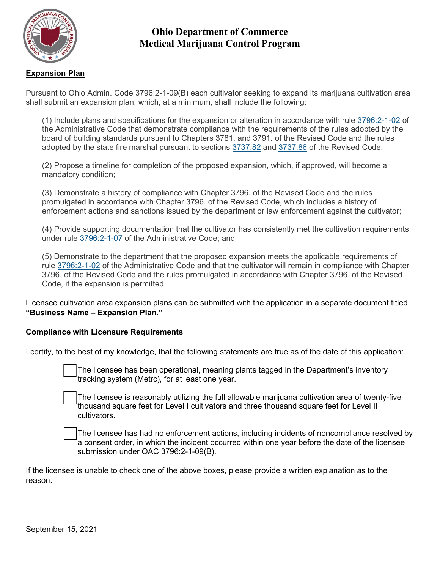

## **Expansion Plan**

Pursuant to Ohio Admin. Code 3796:2-1-09(B) each cultivator seeking to expand its marijuana cultivation area shall submit an expansion plan, which, at a minimum, shall include the following:

(1) Include plans and specifications for the expansion or alteration in accordance with rule [3796:2-1-02](https://codes.ohio.gov/ohio-administrative-code/rule-3796:2-1-02) of the Administrative Code that demonstrate compliance with the requirements of the rules adopted by the board of building standards pursuant to Chapters 3781. and 3791. of the Revised Code and the rules adopted by the state fire marshal pursuant to sections [3737.82](https://codes.ohio.gov/ohio-revised-code/section-3737.82) and [3737.86](https://codes.ohio.gov/ohio-revised-code/section-3737.86) of the Revised Code;

(2) Propose a timeline for completion of the proposed expansion, which, if approved, will become a mandatory condition;

(3) Demonstrate a history of compliance with Chapter 3796. of the Revised Code and the rules promulgated in accordance with Chapter 3796. of the Revised Code, which includes a history of enforcement actions and sanctions issued by the department or law enforcement against the cultivator;

(4) Provide supporting documentation that the cultivator has consistently met the cultivation requirements under rule [3796:2-1-07](https://codes.ohio.gov/ohio-administrative-code/rule-3796:2-1-07) of the Administrative Code; and

(5) Demonstrate to the department that the proposed expansion meets the applicable requirements of rule [3796:2-1-02](https://codes.ohio.gov/ohio-administrative-code/rule-3796:2-1-02) of the Administrative Code and that the cultivator will remain in compliance with Chapter 3796. of the Revised Code and the rules promulgated in accordance with Chapter 3796. of the Revised Code, if the expansion is permitted.

Licensee cultivation area expansion plans can be submitted with the application in a separate document titled **"Business Name – Expansion Plan."**

### **Compliance with Licensure Requirements**

I certify, to the best of my knowledge, that the following statements are true as of the date of this application:

 The licensee has been operational, meaning plants tagged in the Department's inventory tracking system (Metrc), for at least one year.

 The licensee is reasonably utilizing the full allowable marijuana cultivation area of twenty-five thousand square feet for Level I cultivators and three thousand square feet for Level II cultivators.

 The licensee has had no enforcement actions, including incidents of noncompliance resolved by a consent order, in which the incident occurred within one year before the date of the licensee submission under OAC 3796:2-1-09(B).

If the licensee is unable to check one of the above boxes, please provide a written explanation as to the reason.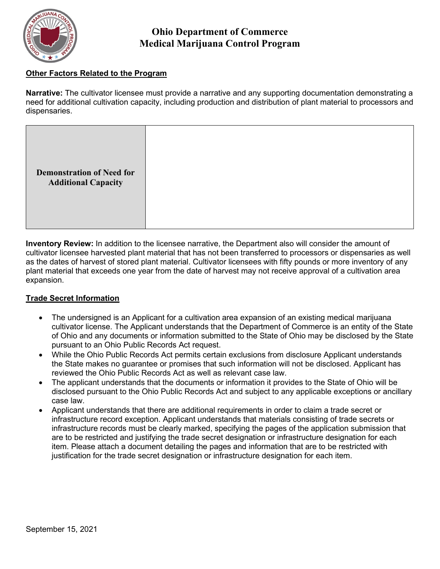

## **Other Factors Related to the Program**

**Narrative:** The cultivator licensee must provide a narrative and any supporting documentation demonstrating a need for additional cultivation capacity, including production and distribution of plant material to processors and dispensaries.

|--|

**Inventory Review:** In addition to the licensee narrative, the Department also will consider the amount of cultivator licensee harvested plant material that has not been transferred to processors or dispensaries as well as the dates of harvest of stored plant material. Cultivator licensees with fifty pounds or more inventory of any plant material that exceeds one year from the date of harvest may not receive approval of a cultivation area expansion.

### **Trade Secret Information**

- The undersigned is an Applicant for a cultivation area expansion of an existing medical marijuana cultivator license. The Applicant understands that the Department of Commerce is an entity of the State of Ohio and any documents or information submitted to the State of Ohio may be disclosed by the State pursuant to an Ohio Public Records Act request.
- While the Ohio Public Records Act permits certain exclusions from disclosure Applicant understands the State makes no guarantee or promises that such information will not be disclosed. Applicant has reviewed the Ohio Public Records Act as well as relevant case law.
- The applicant understands that the documents or information it provides to the State of Ohio will be disclosed pursuant to the Ohio Public Records Act and subject to any applicable exceptions or ancillary case law.
- Applicant understands that there are additional requirements in order to claim a trade secret or infrastructure record exception. Applicant understands that materials consisting of trade secrets or infrastructure records must be clearly marked, specifying the pages of the application submission that are to be restricted and justifying the trade secret designation or infrastructure designation for each item. Please attach a document detailing the pages and information that are to be restricted with justification for the trade secret designation or infrastructure designation for each item.